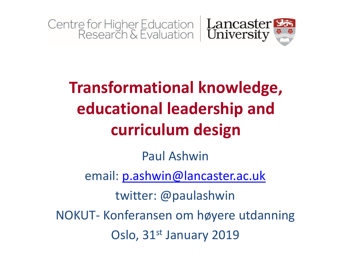

#### **Transformational knowledge, educational leadership and curriculum design**

#### Paul Ashwin

email: [p.ashwin@lancaster.ac.uk](mailto:p.ashwin@lancaster.ac.uk)

twitter: @paulashwin NOKUT- Konferansen om høyere utdanning

Oslo, 31<sup>st</sup> January 2019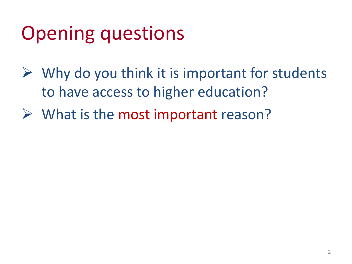# Opening questions

- $\triangleright$  Why do you think it is important for students to have access to higher education?
- $\triangleright$  What is the most important reason?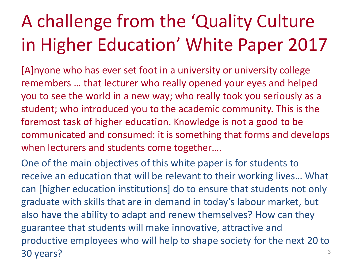# A challenge from the 'Quality Culture in Higher Education' White Paper 2017

[A]nyone who has ever set foot in a university or university college remembers … that lecturer who really opened your eyes and helped you to see the world in a new way; who really took you seriously as a student; who introduced you to the academic community. This is the foremost task of higher education. Knowledge is not a good to be communicated and consumed: it is something that forms and develops when lecturers and students come together….

One of the main objectives of this white paper is for students to receive an education that will be relevant to their working lives… What can [higher education institutions] do to ensure that students not only graduate with skills that are in demand in today's labour market, but also have the ability to adapt and renew themselves? How can they guarantee that students will make innovative, attractive and productive employees who will help to shape society for the next 20 to 30 years? The same state of the state of the state of the state of the state of the state of the state of the state of the state of the state of the state of the state of the state of the state of the state of the state of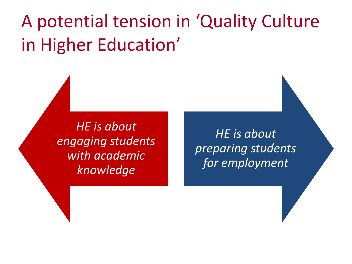#### A potential tension in 'Quality Culture in Higher Education'

*HE is about engaging students with academic knowledge*

*HE is about preparing students for employment*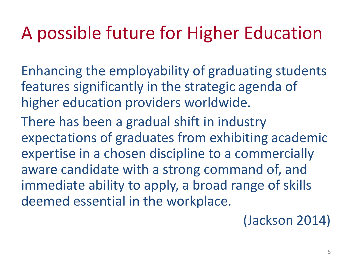#### A possible future for Higher Education

Enhancing the employability of graduating students features significantly in the strategic agenda of higher education providers worldwide.

There has been a gradual shift in industry expectations of graduates from exhibiting academic expertise in a chosen discipline to a commercially aware candidate with a strong command of, and immediate ability to apply, a broad range of skills deemed essential in the workplace.

(Jackson 2014)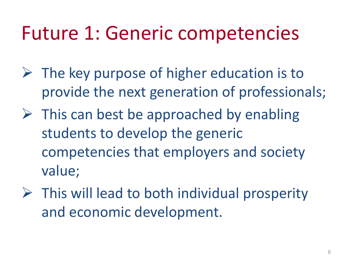## Future 1: Generic competencies

- $\triangleright$  The key purpose of higher education is to provide the next generation of professionals;
- $\triangleright$  This can best be approached by enabling students to develop the generic competencies that employers and society value;
- $\triangleright$  This will lead to both individual prosperity and economic development.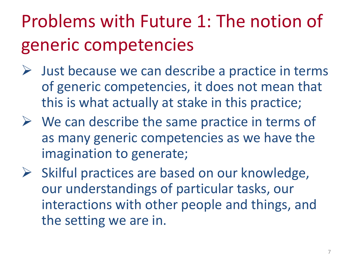# Problems with Future 1: The notion of generic competencies

- $\triangleright$  Just because we can describe a practice in terms of generic competencies, it does not mean that this is what actually at stake in this practice;
- $\triangleright$  We can describe the same practice in terms of as many generic competencies as we have the imagination to generate;
- $\triangleright$  Skilful practices are based on our knowledge, our understandings of particular tasks, our interactions with other people and things, and the setting we are in.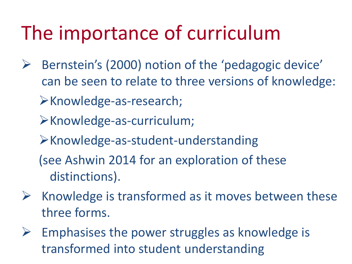# The importance of curriculum

- Bernstein's (2000) notion of the 'pedagogic device' can be seen to relate to three versions of knowledge: Knowledge-as-research;
	- Knowledge-as-curriculum;
	- Knowledge-as-student-understanding
	- (see Ashwin 2014 for an exploration of these distinctions).
- $\triangleright$  Knowledge is transformed as it moves between these three forms.
- $\triangleright$  Emphasises the power struggles as knowledge is transformed into student understanding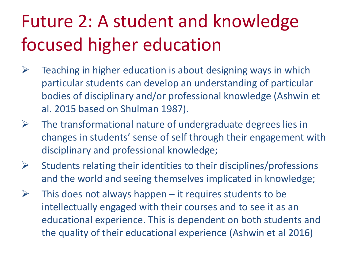## Future 2: A student and knowledge focused higher education

- $\triangleright$  Teaching in higher education is about designing ways in which particular students can develop an understanding of particular bodies of disciplinary and/or professional knowledge (Ashwin et al. 2015 based on Shulman 1987).
- $\triangleright$  The transformational nature of undergraduate degrees lies in changes in students' sense of self through their engagement with disciplinary and professional knowledge;
- $\triangleright$  Students relating their identities to their disciplines/professions and the world and seeing themselves implicated in knowledge;
- $\triangleright$  This does not always happen it requires students to be intellectually engaged with their courses and to see it as an educational experience. This is dependent on both students and the quality of their educational experience (Ashwin et al 2016)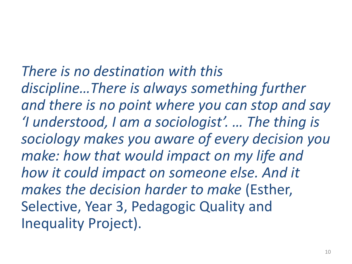*There is no destination with this discipline…There is always something further and there is no point where you can stop and say 'I understood, I am a sociologist'. … The thing is sociology makes you aware of every decision you make: how that would impact on my life and how it could impact on someone else. And it makes the decision harder to make* (Esther, Selective, Year 3, Pedagogic Quality and Inequality Project).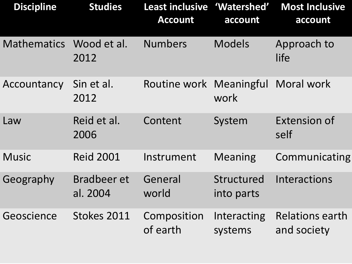| <b>Discipline</b>       | <b>Studies</b>                 | Least inclusive 'Watershed'<br><b>Account</b> | account                  | <b>Most Inclusive</b><br>account      |
|-------------------------|--------------------------------|-----------------------------------------------|--------------------------|---------------------------------------|
| Mathematics Wood et al. | 2012                           | <b>Numbers</b>                                | <b>Models</b>            | Approach to<br>life                   |
| Accountancy             | Sin et al.<br>2012             | Routine work Meaningful                       | work                     | <b>Moral work</b>                     |
| Law                     | Reid et al.<br>2006            | Content                                       | System                   | <b>Extension of</b><br>self           |
| <b>Music</b>            | <b>Reid 2001</b>               | Instrument                                    | <b>Meaning</b>           | Communicating                         |
| Geography               | <b>Bradbeer et</b><br>al. 2004 | General<br>world                              | Structured<br>into parts | Interactions                          |
| Geoscience              | Stokes 2011                    | Composition<br>of earth                       | Interacting<br>systems   | <b>Relations earth</b><br>and society |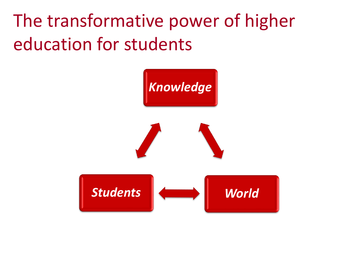The transformative power of higher education for students

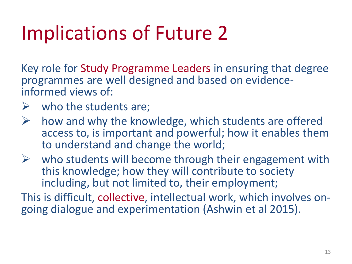# Implications of Future 2

Key role for Study Programme Leaders in ensuring that degree programmes are well designed and based on evidenceinformed views of:

- $\triangleright$  who the students are;
- $\triangleright$  how and why the knowledge, which students are offered access to, is important and powerful; how it enables them to understand and change the world;
- $\triangleright$  who students will become through their engagement with this knowledge; how they will contribute to society including, but not limited to, their employment;

This is difficult, collective, intellectual work, which involves ongoing dialogue and experimentation (Ashwin et al 2015).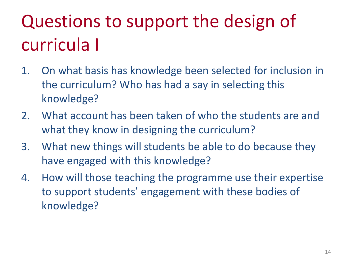# Questions to support the design of curricula I

- 1. On what basis has knowledge been selected for inclusion in the curriculum? Who has had a say in selecting this knowledge?
- 2. What account has been taken of who the students are and what they know in designing the curriculum?
- 3. What new things will students be able to do because they have engaged with this knowledge?
- 4. How will those teaching the programme use their expertise to support students' engagement with these bodies of knowledge?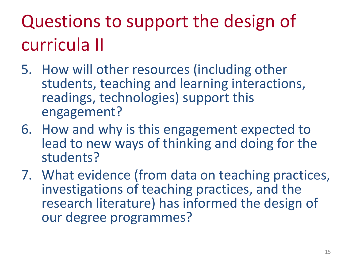# Questions to support the design of curricula II

- 5. How will other resources (including other students, teaching and learning interactions, readings, technologies) support this engagement?
- 6. How and why is this engagement expected to lead to new ways of thinking and doing for the students?
- 7. What evidence (from data on teaching practices, investigations of teaching practices, and the research literature) has informed the design of our degree programmes?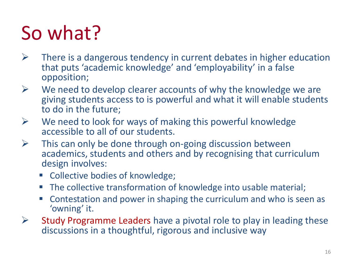# So what?

- $\triangleright$  There is a dangerous tendency in current debates in higher education that puts 'academic knowledge' and 'employability' in a false opposition;
- $\triangleright$  We need to develop clearer accounts of why the knowledge we are giving students access to is powerful and what it will enable students to do in the future;
- $\triangleright$  We need to look for ways of making this powerful knowledge accessible to all of our students.
- $\triangleright$  This can only be done through on-going discussion between academics, students and others and by recognising that curriculum design involves:
	- Collective bodies of knowledge;
	- The collective transformation of knowledge into usable material;
	- Contestation and power in shaping the curriculum and who is seen as 'owning' it.
- $\triangleright$  Study Programme Leaders have a pivotal role to play in leading these discussions in a thoughtful, rigorous and inclusive way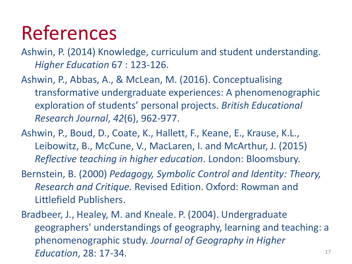#### References

- Ashwin, P. (2014) Knowledge, curriculum and student understanding. *Higher Education* 67 : 123-126.
- Ashwin, P., Abbas, A., & McLean, M. (2016). Conceptualising transformative undergraduate experiences: A phenomenographic exploration of students' personal projects. *British Educational Research Journal*, *42*(6), 962-977.
- Ashwin, P., Boud, D., Coate, K., Hallett, F., Keane, E., Krause, K.L., Leibowitz, B., McCune, V., MacLaren, I. and McArthur, J. (2015) *Reflective teaching in higher education*. London: Bloomsbury.
- Bernstein, B. (2000) *Pedagogy, Symbolic Control and Identity: Theory, Research and Critique.* Revised Edition. Oxford: Rowman and Littlefield Publishers.
- Bradbeer, J., Healey, M. and Kneale. P. (2004). Undergraduate geographers' understandings of geography, learning and teaching: a phenomenographic study. *Journal of Geography in Higher Education*, 28: 17-34.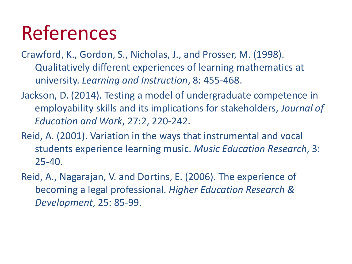## References

- Crawford, K., Gordon, S., Nicholas, J., and Prosser, M. (1998). Qualitatively different experiences of learning mathematics at university. *Learning and Instruction*, 8: 455-468.
- Jackson, D. (2014). Testing a model of undergraduate competence in employability skills and its implications for stakeholders, *Journal of Education and Work*, 27:2, 220-242.
- Reid, A. (2001). Variation in the ways that instrumental and vocal students experience learning music. *Music Education Research*, 3: 25-40.
- Reid, A., Nagarajan, V. and Dortins, E. (2006). The experience of becoming a legal professional. *Higher Education Research & Development*, 25: 85-99.